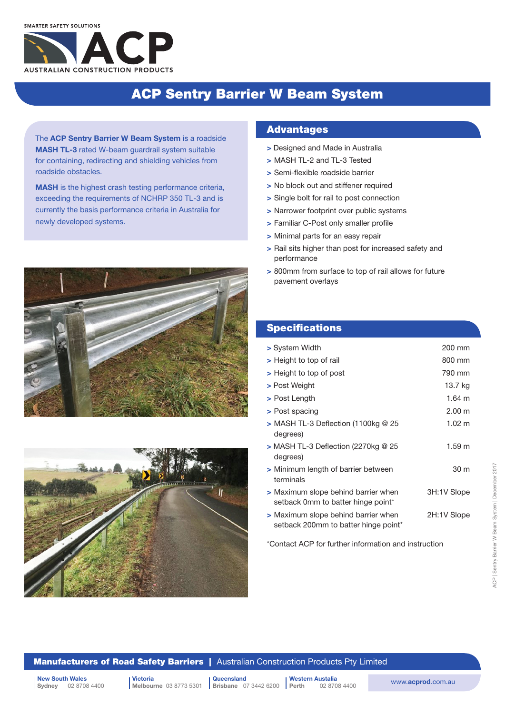# ACP Sentry Barrier W Beam System

The ACP Sentry Barrier W Beam System is a roadside MASH TL-3 rated W-beam guardrail system suitable for containing, redirecting and shielding vehicles from roadside obstacles.

MASH is the highest crash testing performance criteria, exceeding the requirements of NCHRP 350 TL-3 and is currently the basis performance criteria in Australia for newly developed systems.





### **Advantages**

- > Designed and Made in Australia
- > MASH TL-2 and TL-3 Tested
- > Semi-flexible roadside barrier
- > No block out and stiffener required
- > Single bolt for rail to post connection
- > Narrower footprint over public systems
- > Familiar C-Post only smaller profile
- > Minimal parts for an easy repair
- > Rail sits higher than post for increased safety and performance
- > 800mm from surface to top of rail allows for future pavement overlays

### **Specifications**

| > System Width                                                              | 200 mm           |
|-----------------------------------------------------------------------------|------------------|
| > Height to top of rail                                                     | 800 mm           |
| > Height to top of post                                                     | 790 mm           |
| > Post Weight                                                               | 13.7 ka          |
| > Post Length                                                               | $1.64 \text{ m}$ |
| > Post spacing                                                              | 2.00 m           |
| $>$ MASH TL-3 Deflection (1100kg @ 25<br>degrees)                           | $1.02 \; m$      |
| $>$ MASH TL-3 Deflection (2270kg @ 25<br>degrees)                           | 1.59 m           |
| > Minimum length of barrier between<br>terminals                            | 30 m             |
| > Maximum slope behind barrier when<br>setback 0mm to batter hinge point*   | 3H:1V Slope      |
| > Maximum slope behind barrier when<br>setback 200mm to batter hinge point* | 2H:1V Slope      |
|                                                                             |                  |

\*Contact ACP for further information and instruction

#### **Manufacturers of Road Safety Barriers** | Australian Construction Products Pty Limited

| New South Wales<br>| Sydney 02 8708 4400 | Melbourne 03 8773 5301 | Brisbane 07 3442 6200 | Perth 02 8708 4400 | WWW.acprod.com.au Sydney 02 8708 4400

Victoria Melbourne 03 8773 5301

**Queensland Brisbane** 07 3442 6200 Western Austalia

02 8708 4400